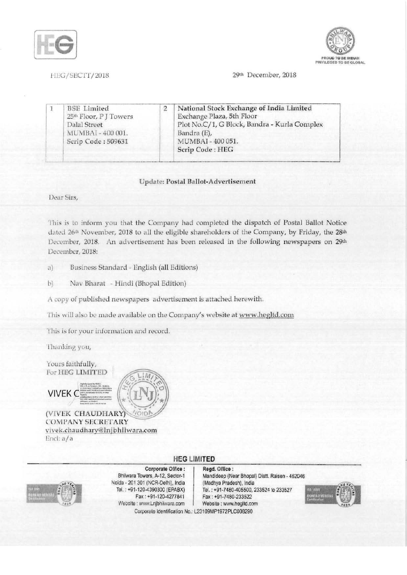



HEG/SECTT/2018

29th December, 2018

|  | <b>BSE</b> Limited<br>25th Floor, P J Towers<br>Dalal Street<br>MUMBAI-400 001.<br>Scrip Code: 509631 |  | National Stock Exchange of India Limited<br>Exchange Plaza, 5th Floor<br>Plot No.C/1, G Block, Bandra - Kurla Complex<br>Bandra (E),<br>MUMBAI-400 051.<br>Scrip Code: HEG |
|--|-------------------------------------------------------------------------------------------------------|--|----------------------------------------------------------------------------------------------------------------------------------------------------------------------------|
|--|-------------------------------------------------------------------------------------------------------|--|----------------------------------------------------------------------------------------------------------------------------------------------------------------------------|

## Update: Postal Ballot-Advertisement

Dear Sirs,

This is to inform you that the Company had completed the dispatch of Postal Ballot Notice dated 26th November, 2018 to all the eligible shareholders of the Company, by Friday, the 28th December, 2018. An advertisement has been released in the following newspapers on 29th December, 2018:

- Business Standard English (all Editions) a)
- $b)$ Nav Bharat - Hindi (Bhopal Edition)

A copy of published newspapers advertisement is attached herewith.

This will also be made available on the Company's website at www.hegltd.com

This is for your information and record.

Thanking you,

Yours faithfully, For HEG LIMITED



(VIVEK CHAUDHARY) **COMPANY SECRETARY** vivek.chaudhary@lnjbhilwara.com Encl: a/a



Corporate Office : Bhilwara Towers, A-12, Sector-1

Noida - 201 301 (NCR-Delhi), India

Tel.: +91-120-4390300 (EPABX) Fax: +91-120-4277841

Website : www.Lnjbhilwara.com

**HEG LIMITED** 

Regd. Office : Mandideep (Near Bhopal) Distt. Raisen - 462046 (Madhya Pradesh), India Tel.: +91-7480-405500, 233524 to 233527 Fax: +91-7480-233522 Website : www.hegitd.com Corporate Identification No.: L23109MP1972PLC008290

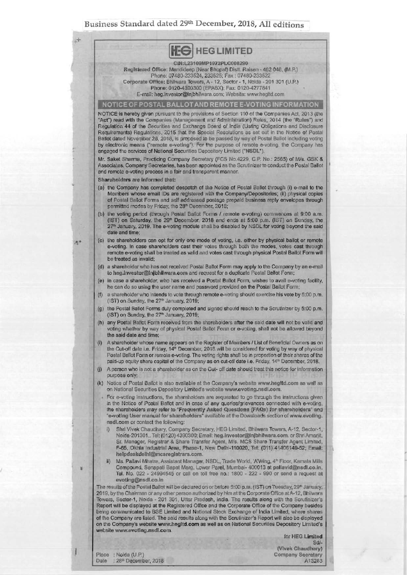## Business Standard dated 29th December, 2018, All editions

 $+$ 



Date : 28<sup>th</sup> December, 2018 A13263